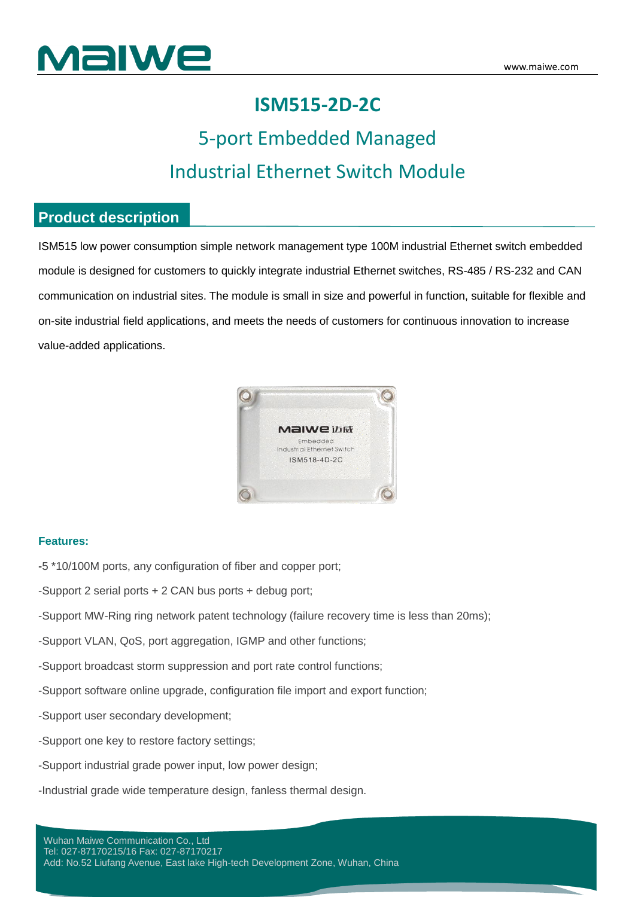

# **ISM515-2D-2C**

# 5-port Embedded Managed Industrial Ethernet Switch Module

### **Product description**

ISM515 low power consumption simple network management type 100M industrial Ethernet switch embedded module is designed for customers to quickly integrate industrial Ethernet switches, RS-485 / RS-232 and CAN communication on industrial sites. The module is small in size and powerful in function, suitable for flexible and on-site industrial field applications, and meets the needs of customers for continuous innovation to increase value-added applications.



### **Features:**

- -5 \*10/100M ports, any configuration of fiber and copper port;
- -Support 2 serial ports + 2 CAN bus ports + debug port;
- -Support MW-Ring ring network patent technology (failure recovery time is less than 20ms);
- -Support VLAN, QoS, port aggregation, IGMP and other functions;
- -Support broadcast storm suppression and port rate control functions;
- -Support software online upgrade, configuration file import and export function;
- -Support user secondary development;
- -Support one key to restore factory settings;
- -Support industrial grade power input, low power design;
- -Industrial grade wide temperature design, fanless thermal design.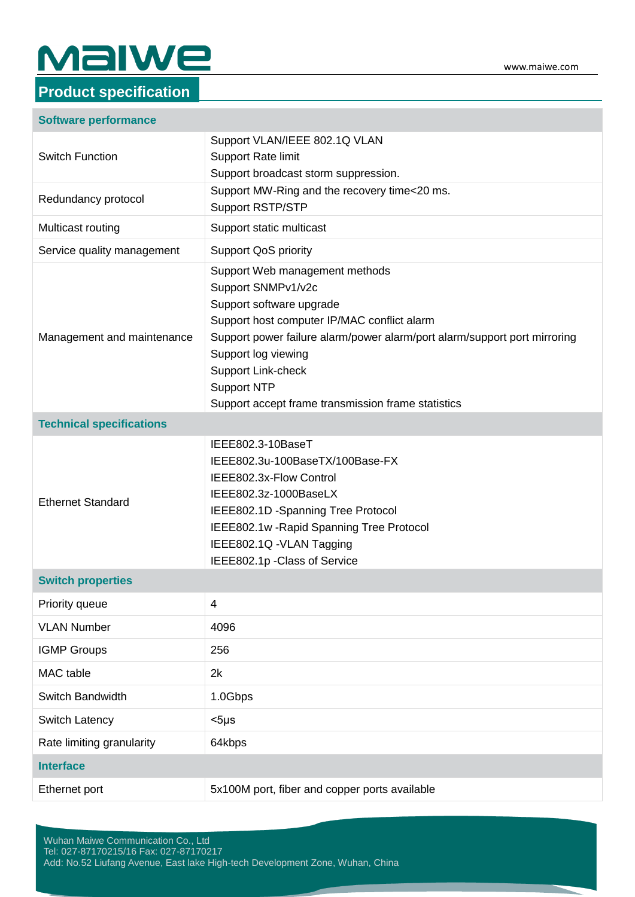### **Product specification**

#### **Software performance**

| <b>Switch Function</b>          | Support VLAN/IEEE 802.1Q VLAN<br><b>Support Rate limit</b><br>Support broadcast storm suppression.                                                                                                                                                                                                                                    |  |  |  |
|---------------------------------|---------------------------------------------------------------------------------------------------------------------------------------------------------------------------------------------------------------------------------------------------------------------------------------------------------------------------------------|--|--|--|
| Redundancy protocol             | Support MW-Ring and the recovery time<20 ms.<br><b>Support RSTP/STP</b>                                                                                                                                                                                                                                                               |  |  |  |
| Multicast routing               | Support static multicast                                                                                                                                                                                                                                                                                                              |  |  |  |
| Service quality management      | <b>Support QoS priority</b>                                                                                                                                                                                                                                                                                                           |  |  |  |
| Management and maintenance      | Support Web management methods<br>Support SNMPv1/v2c<br>Support software upgrade<br>Support host computer IP/MAC conflict alarm<br>Support power failure alarm/power alarm/port alarm/support port mirroring<br>Support log viewing<br>Support Link-check<br><b>Support NTP</b><br>Support accept frame transmission frame statistics |  |  |  |
| <b>Technical specifications</b> |                                                                                                                                                                                                                                                                                                                                       |  |  |  |
| <b>Ethernet Standard</b>        | IEEE802.3-10BaseT<br>IEEE802.3u-100BaseTX/100Base-FX<br>IEEE802.3x-Flow Control<br>IEEE802.3z-1000BaseLX<br>IEEE802.1D -Spanning Tree Protocol<br>IEEE802.1w - Rapid Spanning Tree Protocol<br>IEEE802.1Q - VLAN Tagging<br>IEEE802.1p - Class of Service                                                                             |  |  |  |
| <b>Switch properties</b>        |                                                                                                                                                                                                                                                                                                                                       |  |  |  |
| Priority queue                  | 4                                                                                                                                                                                                                                                                                                                                     |  |  |  |
| <b>VLAN Number</b>              | 4096                                                                                                                                                                                                                                                                                                                                  |  |  |  |
| <b>IGMP Groups</b>              | 256                                                                                                                                                                                                                                                                                                                                   |  |  |  |
| MAC table                       | 2k                                                                                                                                                                                                                                                                                                                                    |  |  |  |
| Switch Bandwidth                | 1.0Gbps                                                                                                                                                                                                                                                                                                                               |  |  |  |
| Switch Latency                  | $<$ 5µs                                                                                                                                                                                                                                                                                                                               |  |  |  |
| Rate limiting granularity       | 64kbps                                                                                                                                                                                                                                                                                                                                |  |  |  |
| <b>Interface</b>                |                                                                                                                                                                                                                                                                                                                                       |  |  |  |
| Ethernet port                   | 5x100M port, fiber and copper ports available                                                                                                                                                                                                                                                                                         |  |  |  |
|                                 |                                                                                                                                                                                                                                                                                                                                       |  |  |  |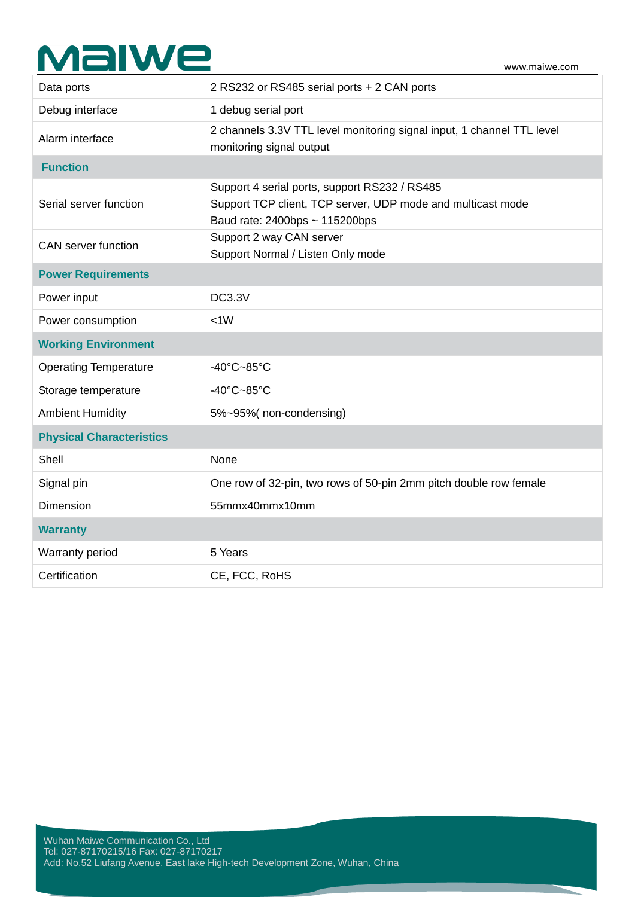#### www.maiwe.com

| M | 2 | IW |  |  |
|---|---|----|--|--|
|   |   |    |  |  |

| Data ports                      | 2 RS232 or RS485 serial ports + 2 CAN ports                                                                                                    |  |  |  |
|---------------------------------|------------------------------------------------------------------------------------------------------------------------------------------------|--|--|--|
| Debug interface                 | 1 debug serial port                                                                                                                            |  |  |  |
| Alarm interface                 | 2 channels 3.3V TTL level monitoring signal input, 1 channel TTL level<br>monitoring signal output                                             |  |  |  |
| <b>Function</b>                 |                                                                                                                                                |  |  |  |
| Serial server function          | Support 4 serial ports, support RS232 / RS485<br>Support TCP client, TCP server, UDP mode and multicast mode<br>Baud rate: 2400bps ~ 115200bps |  |  |  |
| <b>CAN</b> server function      | Support 2 way CAN server<br>Support Normal / Listen Only mode                                                                                  |  |  |  |
| <b>Power Requirements</b>       |                                                                                                                                                |  |  |  |
| Power input                     | <b>DC3.3V</b>                                                                                                                                  |  |  |  |
| Power consumption               | <1W                                                                                                                                            |  |  |  |
| <b>Working Environment</b>      |                                                                                                                                                |  |  |  |
| <b>Operating Temperature</b>    | -40°C~85°C                                                                                                                                     |  |  |  |
| Storage temperature             | $-40^{\circ}$ C $-85^{\circ}$ C                                                                                                                |  |  |  |
| <b>Ambient Humidity</b>         | 5%~95%(non-condensing)                                                                                                                         |  |  |  |
| <b>Physical Characteristics</b> |                                                                                                                                                |  |  |  |
| Shell                           | None                                                                                                                                           |  |  |  |
| Signal pin                      | One row of 32-pin, two rows of 50-pin 2mm pitch double row female                                                                              |  |  |  |
| Dimension                       | 55mmx40mmx10mm                                                                                                                                 |  |  |  |
| <b>Warranty</b>                 |                                                                                                                                                |  |  |  |
| Warranty period                 | 5 Years                                                                                                                                        |  |  |  |
| Certification                   | CE, FCC, RoHS                                                                                                                                  |  |  |  |